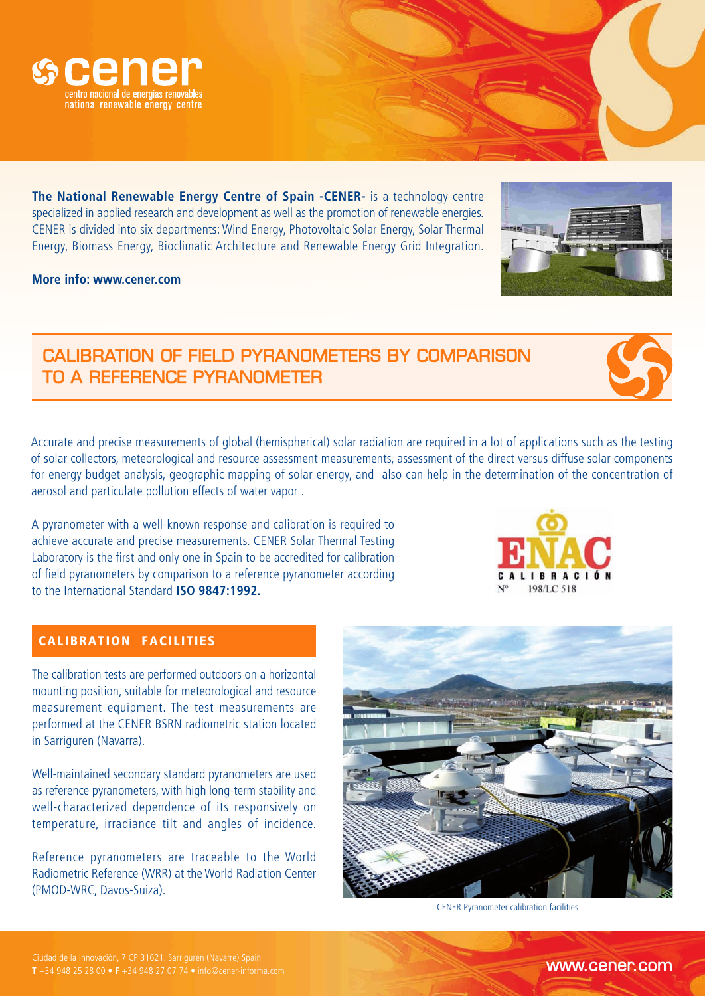

**The National Renewable Energy Centre of Spain -CENER-** is a technology centre specialized in applied research and development as well as the promotion of renewable energies. CENER is divided into six departments: Wind Energy, Photovoltaic Solar Energy, Solar Thermal Energy, Biomass Energy, Bioclimatic Architecture and Renewable Energy Grid Integration.

**More info: www.cener.com**

# CALIBRATION OF FIELD PYRANOMETERS BY COMPARISON TO A REFERENCE PYRANOMETER

Accurate and precise measurements of global (hemispherical) solar radiation are required in a lot of applications such as the testing of solar collectors, meteorological and resource assessment measurements, assessment of the direct versus diffuse solar components for energy budget analysis, geographic mapping of solar energy, and also can help in the determination of the concentration of aerosol and particulate pollution effects of water vapor .

A pyranometer with a well-known response and calibration is required to achieve accurate and precise measurements. CENER Solar Thermal Testing Laboratory is the first and only one in Spain to be accredited for calibration of field pyranometers by comparison to a reference pyranometer according to the International Standard **ISO 9847:1992.**

# CALIBRATION FACILITIES

The calibration tests are performed outdoors on a horizontal mounting position, suitable for meteorological and resource measurement equipment. The test measurements are performed at the CENER BSRN radiometric station located in Sarriguren (Navarra).

Well-maintained secondary standard pyranometers are used as reference pyranometers, with high long-term stability and well-characterized dependence of its responsively on temperature, irradiance tilt and angles of incidence.

Reference pyranometers are traceable to the World Radiometric Reference (WRR) at the World Radiation Center (PMOD-WRC, Davos-Suiza).



#### CENER Pyranometer calibration facilities